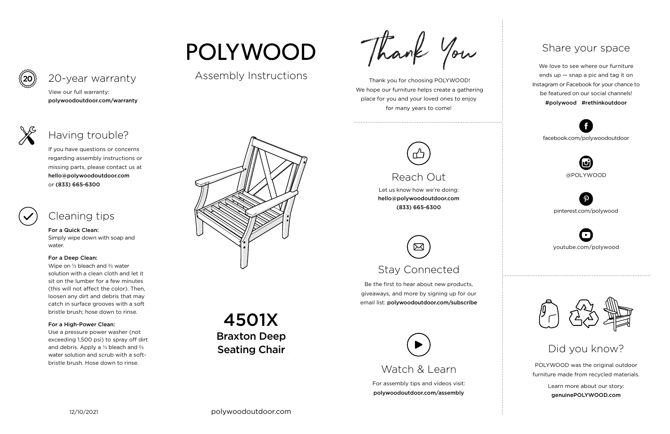For assembly tips and videos visit: polywoodoutdoor.com/assembly

 Thank you for choosing POLYWOOD! We hope our furniture helps create a gathering place for you and your loved ones to enjoy for many years to come!



Let us know how we're doing: hello@polywoodoutdoor.com (833) 665-6300

Be the first to hear about new products, giveaways, and more by signing up for our email list: polywoodoutdoor.com/subscribe



POLYWOOD was the original outdoor furniture made from recycled materials.

> Learn more about our story: genuinePOLYWOOD.com

We love to see where our furniture ends up — snap a pic and tag it on Instagram or Facebook for your chance to be featured on our social channels! #polywood #rethinkoutdoor



youtube.com/polywood



pinterest.com/polywood



facebook.com/polywoodoutdoor





Assembly Instructions

Thank You

Watch & Learn



Braxton Deep **Seating Chair** 4501X

# Stay Connected

## Share your space

Did you know?

View our full warranty: polywoodoutdoor.com/warranty

For a Quick Clean:

Simply wipe down with soap and water.

## For a Deep Clean:

Wipe on ⅓ bleach and ⅔ water solution with a clean cloth and let it sit on the lumber for a few minutes (this will not affect the color). Then, loosen any dirt and debris that may catch in surface grooves with a soft bristle brush; hose down to rinse.

## For a High-Power Clean:

Use a pressure power washer (not exceeding 1,500 psi) to spray off dirt and debris. Apply a ⅓ bleach and ⅔ water solution and scrub with a softbristle brush. Hose down to rinse.



If you have questions or concerns regarding assembly instructions or missing parts, please contact us at hello@polywoodoutdoor.com or (833) 665-6300

## 20-year warranty

## Having trouble?

## Cleaning tips